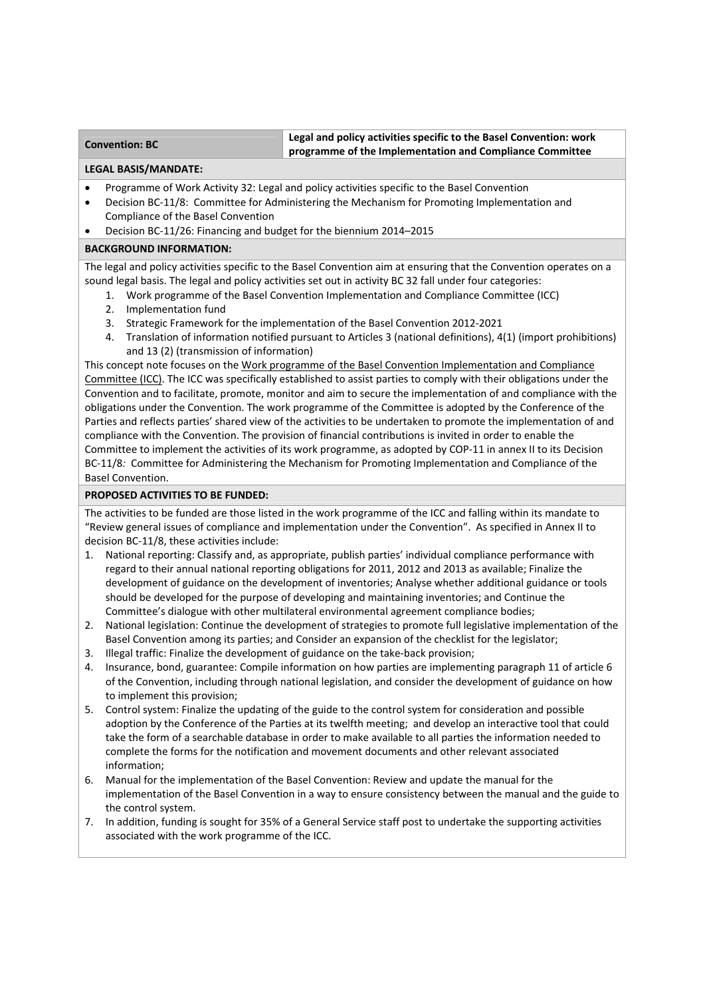## **Convention: BC Legal and policy activities specific to the Basel Convention: work programme of the Implementation and Compliance Committee**

### **LEGAL BASIS/MANDATE:**

- Programme of Work Activity 32: Legal and policy activities specific to the Basel Convention
- Decision BC-11/8: Committee for Administering the Mechanism for Promoting Implementation and Compliance of the Basel Convention
- Decision BC‐11/26: Financing and budget for the biennium 2014–2015

# **BACKGROUND INFORMATION:**

The legal and policy activities specific to the Basel Convention aim at ensuring that the Convention operates on a sound legal basis. The legal and policy activities set out in activity BC 32 fall under four categories:

- 1. Work programme of the Basel Convention Implementation and Compliance Committee (ICC)
- 2. Implementation fund
- 3. Strategic Framework for the implementation of the Basel Convention 2012‐2021
- 4. Translation of information notified pursuant to Articles 3 (national definitions), 4(1) (import prohibitions) and 13 (2) (transmission of information)

This concept note focuses on the Work programme of the Basel Convention Implementation and Compliance Committee (ICC). The ICC was specifically established to assist parties to comply with their obligations under the Convention and to facilitate, promote, monitor and aim to secure the implementation of and compliance with the obligations under the Convention. The work programme of the Committee is adopted by the Conference of the Parties and reflects parties' shared view of the activities to be undertaken to promote the implementation of and compliance with the Convention. The provision of financial contributions is invited in order to enable the Committee to implement the activities of its work programme, as adopted by COP‐11 in annex II to its Decision BC-11/8: Committee for Administering the Mechanism for Promoting Implementation and Compliance of the Basel Convention.

# **PROPOSED ACTIVITIES TO BE FUNDED:**

The activities to be funded are those listed in the work programme of the ICC and falling within its mandate to "Review general issues of compliance and implementation under the Convention". As specified in Annex II to decision BC‐11/8, these activities include:

- 1. National reporting: Classify and, as appropriate, publish parties' individual compliance performance with regard to their annual national reporting obligations for 2011, 2012 and 2013 as available; Finalize the development of guidance on the development of inventories; Analyse whether additional guidance or tools should be developed for the purpose of developing and maintaining inventories; and Continue the Committee's dialogue with other multilateral environmental agreement compliance bodies;
- 2. National legislation: Continue the development of strategies to promote full legislative implementation of the Basel Convention among its parties; and Consider an expansion of the checklist for the legislator;
- 3. Illegal traffic: Finalize the development of guidance on the take‐back provision;
- 4. Insurance, bond, guarantee: Compile information on how parties are implementing paragraph 11 of article 6 of the Convention, including through national legislation, and consider the development of guidance on how to implement this provision;
- 5. Control system: Finalize the updating of the guide to the control system for consideration and possible adoption by the Conference of the Parties at its twelfth meeting; and develop an interactive tool that could take the form of a searchable database in order to make available to all parties the information needed to complete the forms for the notification and movement documents and other relevant associated information;
- 6. Manual for the implementation of the Basel Convention: Review and update the manual for the implementation of the Basel Convention in a way to ensure consistency between the manual and the guide to the control system.
- 7. In addition, funding is sought for 35% of a General Service staff post to undertake the supporting activities associated with the work programme of the ICC.